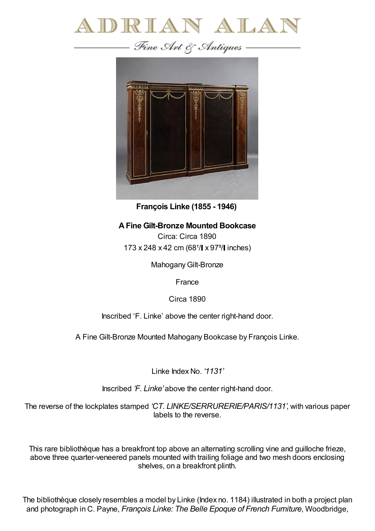

—— Fine Art & Antiques —



**François Linke (1855 - 1946)**

## **AFine Gilt-Bronze Mounted Bookcase**

Circa: Circa 1890 173 x 248 x 42 cm (68<sup>1</sup>/ x 97<sup>5</sup>/ linches)

Mahogany Gilt-Bronze

France

Circa 1890

Inscribed 'F. Linke' above the center right-hand door.

A Fine Gilt-Bronze Mounted Mahogany Bookcase by François Linke.

Linke Index No. *'1131'*

Inscribed *'F. Linke'* above the center right-hand door.

The reverse of the lockplates stamped *'CT. LINKE/SERRURERIE/PARIS/1131'*, with various paper labels to the reverse.

This rare bibliothèque has a breakfront top above an alternating scrolling vine and guilloche frieze, above three quarter-veneered panels mounted with trailing foliage and two mesh doors enclosing shelves, on a breakfront plinth.

The bibliothèque closely resembles a model by Linke (Index no. 1184) illustrated in both a project plan and photograph in C. Payne, *François Linke: The Belle Epoque of French Furniture*, Woodbridge,